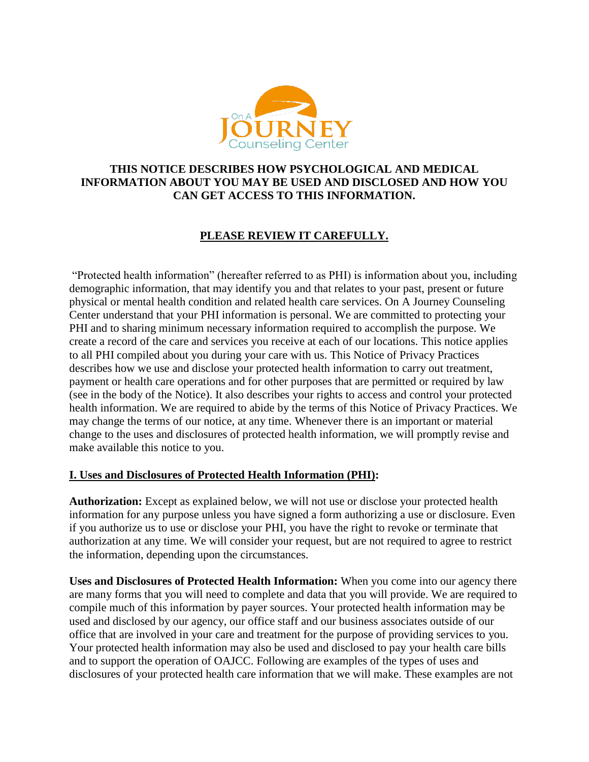

### **THIS NOTICE DESCRIBES HOW PSYCHOLOGICAL AND MEDICAL INFORMATION ABOUT YOU MAY BE USED AND DISCLOSED AND HOW YOU CAN GET ACCESS TO THIS INFORMATION.**

# **PLEASE REVIEW IT CAREFULLY.**

"Protected health information" (hereafter referred to as PHI) is information about you, including demographic information, that may identify you and that relates to your past, present or future physical or mental health condition and related health care services. On A Journey Counseling Center understand that your PHI information is personal. We are committed to protecting your PHI and to sharing minimum necessary information required to accomplish the purpose. We create a record of the care and services you receive at each of our locations. This notice applies to all PHI compiled about you during your care with us. This Notice of Privacy Practices describes how we use and disclose your protected health information to carry out treatment, payment or health care operations and for other purposes that are permitted or required by law (see in the body of the Notice). It also describes your rights to access and control your protected health information. We are required to abide by the terms of this Notice of Privacy Practices. We may change the terms of our notice, at any time. Whenever there is an important or material change to the uses and disclosures of protected health information, we will promptly revise and make available this notice to you.

### **I. Uses and Disclosures of Protected Health Information (PHI):**

**Authorization:** Except as explained below, we will not use or disclose your protected health information for any purpose unless you have signed a form authorizing a use or disclosure. Even if you authorize us to use or disclose your PHI, you have the right to revoke or terminate that authorization at any time. We will consider your request, but are not required to agree to restrict the information, depending upon the circumstances.

**Uses and Disclosures of Protected Health Information:** When you come into our agency there are many forms that you will need to complete and data that you will provide. We are required to compile much of this information by payer sources. Your protected health information may be used and disclosed by our agency, our office staff and our business associates outside of our office that are involved in your care and treatment for the purpose of providing services to you. Your protected health information may also be used and disclosed to pay your health care bills and to support the operation of OAJCC. Following are examples of the types of uses and disclosures of your protected health care information that we will make. These examples are not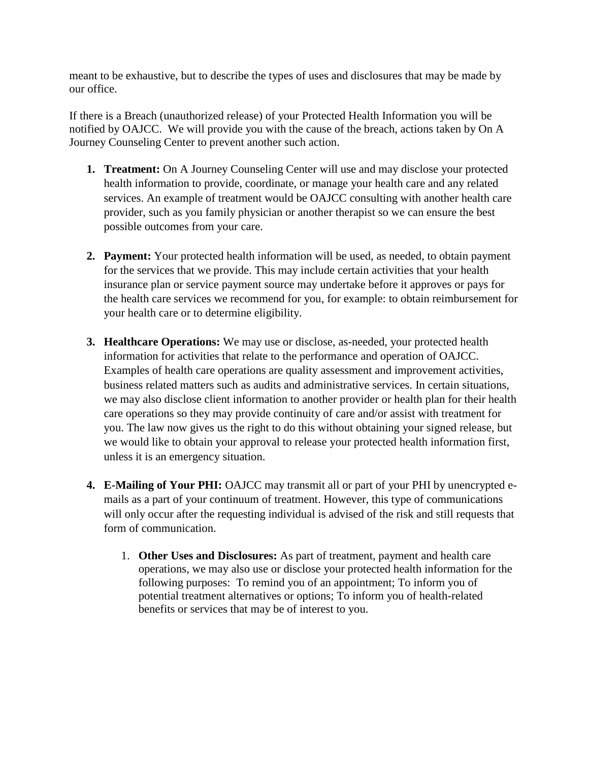meant to be exhaustive, but to describe the types of uses and disclosures that may be made by our office.

If there is a Breach (unauthorized release) of your Protected Health Information you will be notified by OAJCC. We will provide you with the cause of the breach, actions taken by On A Journey Counseling Center to prevent another such action.

- **1. Treatment:** On A Journey Counseling Center will use and may disclose your protected health information to provide, coordinate, or manage your health care and any related services. An example of treatment would be OAJCC consulting with another health care provider, such as you family physician or another therapist so we can ensure the best possible outcomes from your care.
- **2. Payment:** Your protected health information will be used, as needed, to obtain payment for the services that we provide. This may include certain activities that your health insurance plan or service payment source may undertake before it approves or pays for the health care services we recommend for you, for example: to obtain reimbursement for your health care or to determine eligibility.
- **3. Healthcare Operations:** We may use or disclose, as-needed, your protected health information for activities that relate to the performance and operation of OAJCC. Examples of health care operations are quality assessment and improvement activities, business related matters such as audits and administrative services. In certain situations, we may also disclose client information to another provider or health plan for their health care operations so they may provide continuity of care and/or assist with treatment for you. The law now gives us the right to do this without obtaining your signed release, but we would like to obtain your approval to release your protected health information first, unless it is an emergency situation.
- **4. E-Mailing of Your PHI:** OAJCC may transmit all or part of your PHI by unencrypted emails as a part of your continuum of treatment. However, this type of communications will only occur after the requesting individual is advised of the risk and still requests that form of communication.
	- 1. **Other Uses and Disclosures:** As part of treatment, payment and health care operations, we may also use or disclose your protected health information for the following purposes: To remind you of an appointment; To inform you of potential treatment alternatives or options; To inform you of health-related benefits or services that may be of interest to you.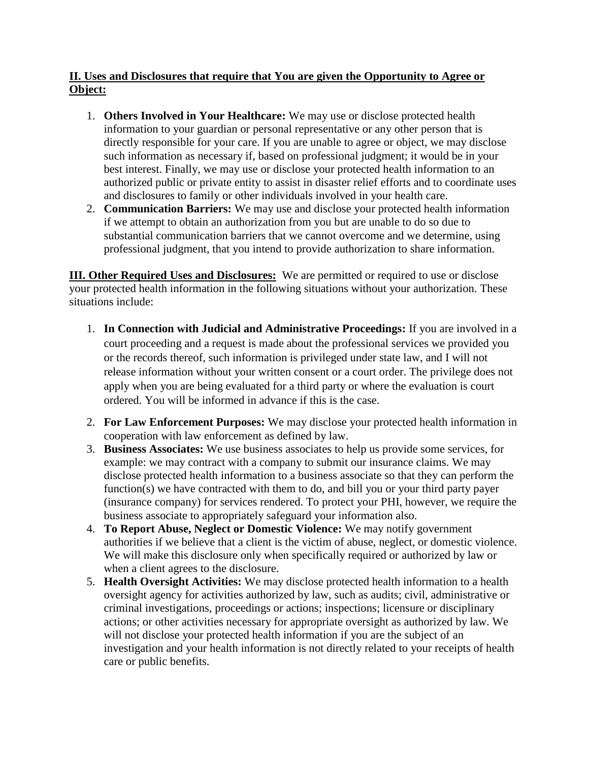## **II. Uses and Disclosures that require that You are given the Opportunity to Agree or Object:**

- 1. **Others Involved in Your Healthcare:** We may use or disclose protected health information to your guardian or personal representative or any other person that is directly responsible for your care. If you are unable to agree or object, we may disclose such information as necessary if, based on professional judgment; it would be in your best interest. Finally, we may use or disclose your protected health information to an authorized public or private entity to assist in disaster relief efforts and to coordinate uses and disclosures to family or other individuals involved in your health care.
- 2. **Communication Barriers:** We may use and disclose your protected health information if we attempt to obtain an authorization from you but are unable to do so due to substantial communication barriers that we cannot overcome and we determine, using professional judgment, that you intend to provide authorization to share information.

**III. Other Required Uses and Disclosures:** We are permitted or required to use or disclose your protected health information in the following situations without your authorization. These situations include:

- 1. **In Connection with Judicial and Administrative Proceedings:** If you are involved in a court proceeding and a request is made about the professional services we provided you or the records thereof, such information is privileged under state law, and I will not release information without your written consent or a court order. The privilege does not apply when you are being evaluated for a third party or where the evaluation is court ordered. You will be informed in advance if this is the case.
- 2. **For Law Enforcement Purposes:** We may disclose your protected health information in cooperation with law enforcement as defined by law.
- 3. **Business Associates:** We use business associates to help us provide some services, for example: we may contract with a company to submit our insurance claims. We may disclose protected health information to a business associate so that they can perform the function(s) we have contracted with them to do, and bill you or your third party payer (insurance company) for services rendered. To protect your PHI, however, we require the business associate to appropriately safeguard your information also.
- 4. **To Report Abuse, Neglect or Domestic Violence:** We may notify government authorities if we believe that a client is the victim of abuse, neglect, or domestic violence. We will make this disclosure only when specifically required or authorized by law or when a client agrees to the disclosure.
- 5. **Health Oversight Activities:** We may disclose protected health information to a health oversight agency for activities authorized by law, such as audits; civil, administrative or criminal investigations, proceedings or actions; inspections; licensure or disciplinary actions; or other activities necessary for appropriate oversight as authorized by law. We will not disclose your protected health information if you are the subject of an investigation and your health information is not directly related to your receipts of health care or public benefits.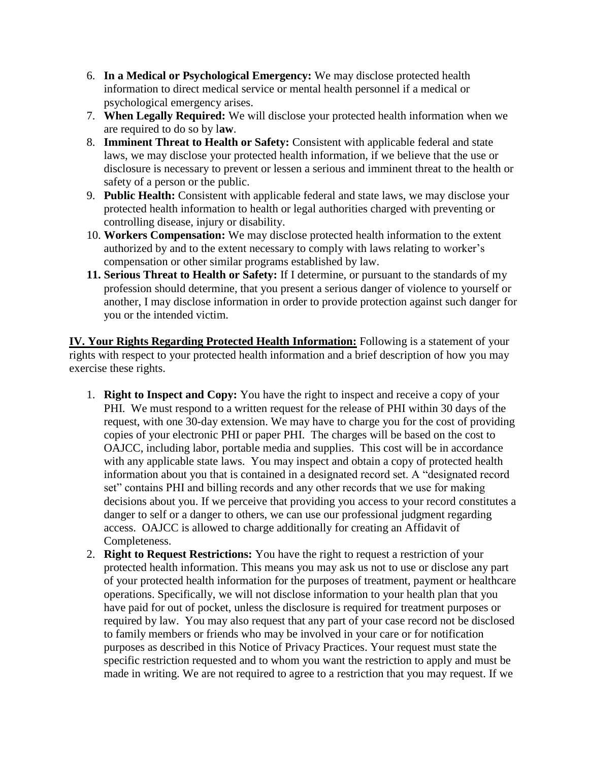- 6. **In a Medical or Psychological Emergency:** We may disclose protected health information to direct medical service or mental health personnel if a medical or psychological emergency arises.
- 7. **When Legally Required:** We will disclose your protected health information when we are required to do so by l**aw**.
- 8. **Imminent Threat to Health or Safety:** Consistent with applicable federal and state laws, we may disclose your protected health information, if we believe that the use or disclosure is necessary to prevent or lessen a serious and imminent threat to the health or safety of a person or the public.
- 9. **Public Health:** Consistent with applicable federal and state laws, we may disclose your protected health information to health or legal authorities charged with preventing or controlling disease, injury or disability.
- 10. **Workers Compensation:** We may disclose protected health information to the extent authorized by and to the extent necessary to comply with laws relating to worker's compensation or other similar programs established by law.
- **11. Serious Threat to Health or Safety:** If I determine, or pursuant to the standards of my profession should determine, that you present a serious danger of violence to yourself or another, I may disclose information in order to provide protection against such danger for you or the intended victim.

**IV. Your Rights Regarding Protected Health Information:** Following is a statement of your rights with respect to your protected health information and a brief description of how you may exercise these rights.

- 1. **Right to Inspect and Copy:** You have the right to inspect and receive a copy of your PHI. We must respond to a written request for the release of PHI within 30 days of the request, with one 30-day extension. We may have to charge you for the cost of providing copies of your electronic PHI or paper PHI. The charges will be based on the cost to OAJCC, including labor, portable media and supplies. This cost will be in accordance with any applicable state laws. You may inspect and obtain a copy of protected health information about you that is contained in a designated record set. A "designated record set" contains PHI and billing records and any other records that we use for making decisions about you. If we perceive that providing you access to your record constitutes a danger to self or a danger to others, we can use our professional judgment regarding access. OAJCC is allowed to charge additionally for creating an Affidavit of Completeness.
- 2. **Right to Request Restrictions:** You have the right to request a restriction of your protected health information. This means you may ask us not to use or disclose any part of your protected health information for the purposes of treatment, payment or healthcare operations. Specifically, we will not disclose information to your health plan that you have paid for out of pocket, unless the disclosure is required for treatment purposes or required by law. You may also request that any part of your case record not be disclosed to family members or friends who may be involved in your care or for notification purposes as described in this Notice of Privacy Practices. Your request must state the specific restriction requested and to whom you want the restriction to apply and must be made in writing. We are not required to agree to a restriction that you may request. If we